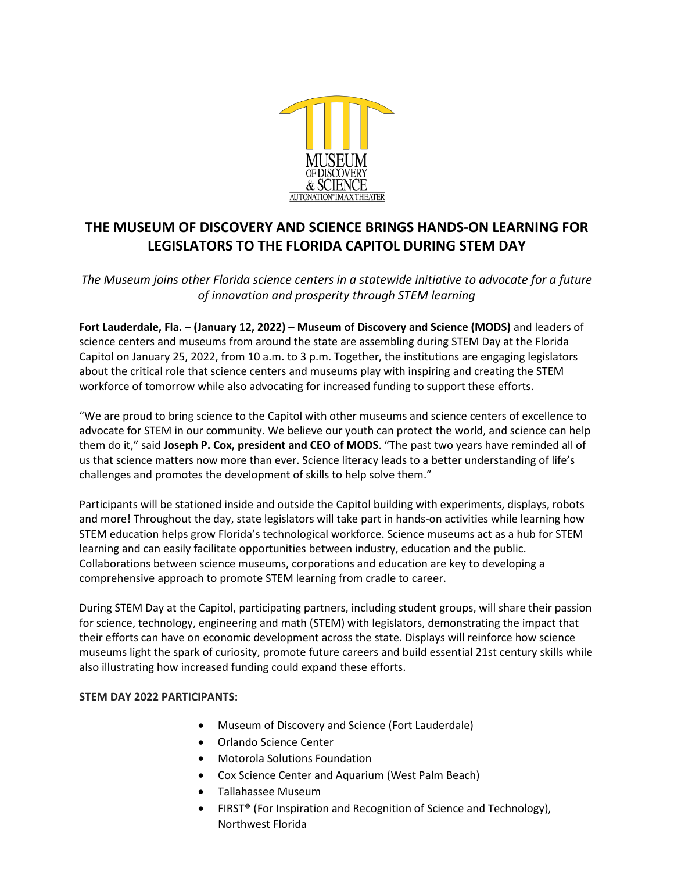

# **THE MUSEUM OF DISCOVERY AND SCIENCE BRINGS HANDS-ON LEARNING FOR LEGISLATORS TO THE FLORIDA CAPITOL DURING STEM DAY**

*The Museum joins other Florida science centers in a statewide initiative to advocate for a future of innovation and prosperity through STEM learning*

**Fort Lauderdale, Fla. – (January 12, 2022) – Museum of Discovery and Science (MODS)** and leaders of science centers and museums from around the state are assembling during STEM Day at the Florida Capitol on January 25, 2022, from 10 a.m. to 3 p.m. Together, the institutions are engaging legislators about the critical role that science centers and museums play with inspiring and creating the STEM workforce of tomorrow while also advocating for increased funding to support these efforts.

"We are proud to bring science to the Capitol with other museums and science centers of excellence to advocate for STEM in our community. We believe our youth can protect the world, and science can help them do it," said **Joseph P. Cox, president and CEO of MODS**. "The past two years have reminded all of us that science matters now more than ever. Science literacy leads to a better understanding of life's challenges and promotes the development of skills to help solve them."

Participants will be stationed inside and outside the Capitol building with experiments, displays, robots and more! Throughout the day, state legislators will take part in hands-on activities while learning how STEM education helps grow Florida's technological workforce. Science museums act as a hub for STEM learning and can easily facilitate opportunities between industry, education and the public. Collaborations between science museums, corporations and education are key to developing a comprehensive approach to promote STEM learning from cradle to career.

During STEM Day at the Capitol, participating partners, including student groups, will share their passion for science, technology, engineering and math (STEM) with legislators, demonstrating the impact that their efforts can have on economic development across the state. Displays will reinforce how science museums light the spark of curiosity, promote future careers and build essential 21st century skills while also illustrating how increased funding could expand these efforts.

## **STEM DAY 2022 PARTICIPANTS:**

- Museum of Discovery and Science (Fort Lauderdale)
- Orlando Science Center
- Motorola Solutions Foundation
- Cox Science Center and Aquarium (West Palm Beach)
- Tallahassee Museum
- FIRST® (For Inspiration and Recognition of Science and Technology), Northwest Florida